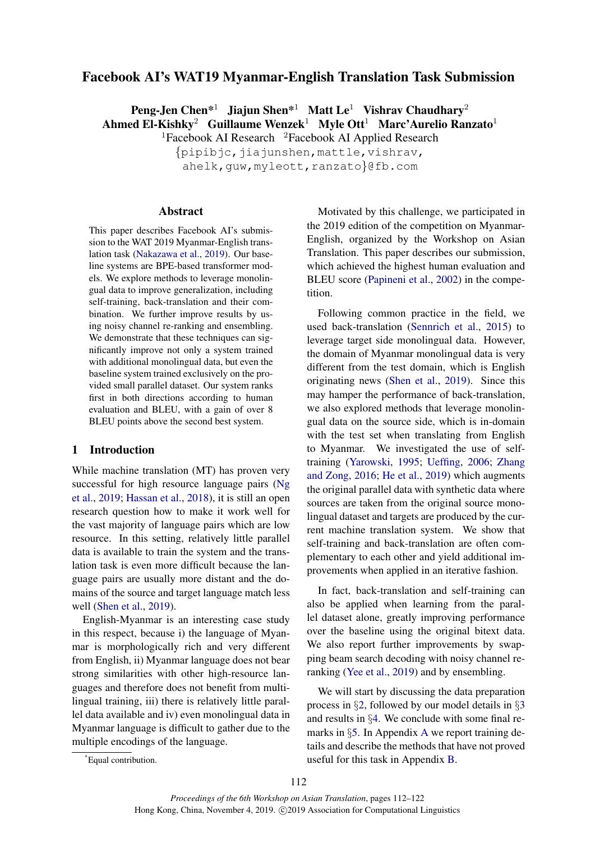# <span id="page-0-0"></span>Facebook AI's WAT19 Myanmar-English Translation Task Submission

Peng-Jen Chen\*<sup>1</sup> Jiajun Shen\*<sup>1</sup> Matt Le<sup>1</sup> Vishrav Chaudhary<sup>2</sup> Ahmed El-Kishky<sup>2</sup> Guillaume Wenzek<sup>1</sup> Myle Ott<sup>1</sup> Marc'Aurelio Ranzato<sup>1</sup> <sup>1</sup>Facebook AI Research  $2$ Facebook AI Applied Research

 $\{pipibjc, jiajunshen, mattle,vishrav,$ 

ahelk, guw, myleott, ranzato}@fb.com

#### Abstract

This paper describes Facebook AI's submission to the WAT 2019 Myanmar-English translation task [\(Nakazawa et al.,](#page-7-0) [2019\)](#page-7-0). Our baseline systems are BPE-based transformer models. We explore methods to leverage monolingual data to improve generalization, including self-training, back-translation and their combination. We further improve results by using noisy channel re-ranking and ensembling. We demonstrate that these techniques can significantly improve not only a system trained with additional monolingual data, but even the baseline system trained exclusively on the provided small parallel dataset. Our system ranks first in both directions according to human evaluation and BLEU, with a gain of over 8 BLEU points above the second best system.

### 1 Introduction

While machine translation (MT) has proven very successful for high resource language pairs [\(Ng](#page-8-0) [et al.,](#page-8-0) [2019;](#page-8-0) [Hassan et al.,](#page-7-1) [2018\)](#page-7-1), it is still an open research question how to make it work well for the vast majority of language pairs which are low resource. In this setting, relatively little parallel data is available to train the system and the translation task is even more difficult because the language pairs are usually more distant and the domains of the source and target language match less well [\(Shen et al.,](#page-8-1) [2019\)](#page-8-1).

English-Myanmar is an interesting case study in this respect, because i) the language of Myanmar is morphologically rich and very different from English, ii) Myanmar language does not bear strong similarities with other high-resource languages and therefore does not benefit from multilingual training, iii) there is relatively little parallel data available and iv) even monolingual data in Myanmar language is difficult to gather due to the multiple encodings of the language.

Motivated by this challenge, we participated in the 2019 edition of the competition on Myanmar-English, organized by the Workshop on Asian Translation. This paper describes our submission, which achieved the highest human evaluation and BLEU score [\(Papineni et al.,](#page-8-2) [2002\)](#page-8-2) in the competition.

Following common practice in the field, we used back-translation [\(Sennrich et al.,](#page-8-3) [2015\)](#page-8-3) to leverage target side monolingual data. However, the domain of Myanmar monolingual data is very different from the test domain, which is English originating news [\(Shen et al.,](#page-8-1) [2019\)](#page-8-1). Since this may hamper the performance of back-translation, we also explored methods that leverage monolingual data on the source side, which is in-domain with the test set when translating from English to Myanmar. We investigated the use of selftraining [\(Yarowski,](#page-8-4) [1995;](#page-8-4) [Ueffing,](#page-8-5) [2006;](#page-8-5) [Zhang](#page-8-6) [and Zong,](#page-8-6) [2016;](#page-8-6) [He et al.,](#page-7-2) [2019\)](#page-7-2) which augments the original parallel data with synthetic data where sources are taken from the original source monolingual dataset and targets are produced by the current machine translation system. We show that self-training and back-translation are often complementary to each other and yield additional improvements when applied in an iterative fashion.

In fact, back-translation and self-training can also be applied when learning from the parallel dataset alone, greatly improving performance over the baseline using the original bitext data. We also report further improvements by swapping beam search decoding with noisy channel reranking [\(Yee et al.,](#page-8-7) [2019\)](#page-8-7) and by ensembling.

We will start by discussing the data preparation process in §[2,](#page-1-0) followed by our model details in §[3](#page-1-1) and results in §[4.](#page-3-0) We conclude with some final remarks in §[5.](#page-6-0) In Appendix [A](#page-9-0) we report training details and describe the methods that have not proved useful for this task in Appendix [B.](#page-9-1)

<sup>\*</sup>Equal contribution.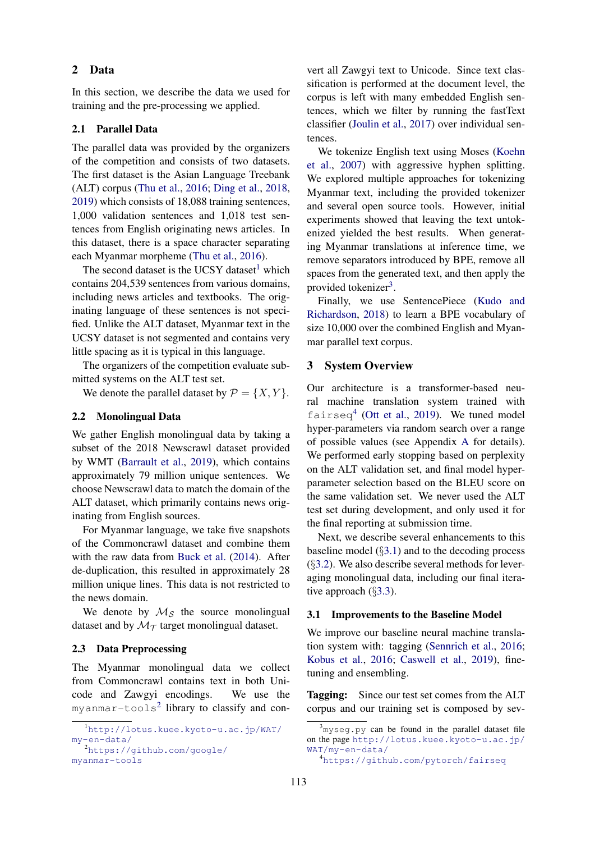#### <span id="page-1-0"></span>2 Data

In this section, we describe the data we used for training and the pre-processing we applied.

### 2.1 Parallel Data

The parallel data was provided by the organizers of the competition and consists of two datasets. The first dataset is the Asian Language Treebank (ALT) corpus [\(Thu et al.,](#page-8-8) [2016;](#page-8-8) [Ding et al.,](#page-7-3) [2018,](#page-7-3) [2019\)](#page-7-4) which consists of 18,088 training sentences, 1,000 validation sentences and 1,018 test sentences from English originating news articles. In this dataset, there is a space character separating each Myanmar morpheme [\(Thu et al.,](#page-8-8) [2016\)](#page-8-8).

The second dataset is the UCSY dataset<sup>[1](#page-1-2)</sup> which contains 204,539 sentences from various domains, including news articles and textbooks. The originating language of these sentences is not specified. Unlike the ALT dataset, Myanmar text in the UCSY dataset is not segmented and contains very little spacing as it is typical in this language.

The organizers of the competition evaluate submitted systems on the ALT test set.

We denote the parallel dataset by  $\mathcal{P} = \{X, Y\}.$ 

### 2.2 Monolingual Data

We gather English monolingual data by taking a subset of the 2018 Newscrawl dataset provided by WMT [\(Barrault et al.,](#page-6-1) [2019\)](#page-6-1), which contains approximately 79 million unique sentences. We choose Newscrawl data to match the domain of the ALT dataset, which primarily contains news originating from English sources.

For Myanmar language, we take five snapshots of the Commoncrawl dataset and combine them with the raw data from [Buck et al.](#page-7-5) [\(2014\)](#page-7-5). After de-duplication, this resulted in approximately 28 million unique lines. This data is not restricted to the news domain.

We denote by  $\mathcal{M}_{\mathcal{S}}$  the source monolingual dataset and by  $\mathcal{M}_{\mathcal{T}}$  target monolingual dataset.

#### 2.3 Data Preprocessing

The Myanmar monolingual data we collect from Commoncrawl contains text in both Unicode and Zawgyi encodings. We use the myanmar-tools $^2$  $^2$  library to classify and con-

vert all Zawgyi text to Unicode. Since text classification is performed at the document level, the corpus is left with many embedded English sentences, which we filter by running the fastText classifier [\(Joulin et al.,](#page-7-6) [2017\)](#page-7-6) over individual sentences.

We tokenize English text using Moses [\(Koehn](#page-7-7) [et al.,](#page-7-7) [2007\)](#page-7-7) with aggressive hyphen splitting. We explored multiple approaches for tokenizing Myanmar text, including the provided tokenizer and several open source tools. However, initial experiments showed that leaving the text untokenized yielded the best results. When generating Myanmar translations at inference time, we remove separators introduced by BPE, remove all spaces from the generated text, and then apply the provided tokenizer<sup>[3](#page-1-4)</sup>.

Finally, we use SentencePiece [\(Kudo and](#page-7-8) [Richardson,](#page-7-8) [2018\)](#page-7-8) to learn a BPE vocabulary of size 10,000 over the combined English and Myanmar parallel text corpus.

# <span id="page-1-1"></span>3 System Overview

Our architecture is a transformer-based neural machine translation system trained with fairseq<sup>[4](#page-1-5)</sup> [\(Ott et al.,](#page-8-9) [2019\)](#page-8-9). We tuned model hyper-parameters via random search over a range of possible values (see Appendix [A](#page-9-0) for details). We performed early stopping based on perplexity on the ALT validation set, and final model hyperparameter selection based on the BLEU score on the same validation set. We never used the ALT test set during development, and only used it for the final reporting at submission time.

Next, we describe several enhancements to this baseline model  $(\S3.1)$  $(\S3.1)$  and to the decoding process (§[3.2\)](#page-2-0). We also describe several methods for leveraging monolingual data, including our final iterative approach  $(\S3.3)$  $(\S3.3)$ .

#### <span id="page-1-6"></span>3.1 Improvements to the Baseline Model

We improve our baseline neural machine translation system with: tagging [\(Sennrich et al.,](#page-8-10) [2016;](#page-8-10) [Kobus et al.,](#page-7-9) [2016;](#page-7-9) [Caswell et al.,](#page-7-10) [2019\)](#page-7-10), finetuning and ensembling.

Tagging: Since our test set comes from the ALT corpus and our training set is composed by sev-

<span id="page-1-2"></span><sup>1</sup>[http://lotus.kuee.kyoto-u.ac.jp/WAT/](http://lotus.kuee.kyoto-u.ac.jp/WAT/my-en-data/) [my-en-data/](http://lotus.kuee.kyoto-u.ac.jp/WAT/my-en-data/) <sup>2</sup>[https://github.com/google/](https://github.com/google/myanmar-tools)

<span id="page-1-3"></span>[myanmar-tools](https://github.com/google/myanmar-tools)

<span id="page-1-4"></span> $3_{\text{myseq. py}}$  can be found in the parallel dataset file on the page [http://lotus.kuee.kyoto-u.ac.jp/](http://lotus.kuee.kyoto-u.ac.jp/WAT/my-en-data/) [WAT/my-en-data/](http://lotus.kuee.kyoto-u.ac.jp/WAT/my-en-data/)

<span id="page-1-5"></span><sup>4</sup><https://github.com/pytorch/fairseq>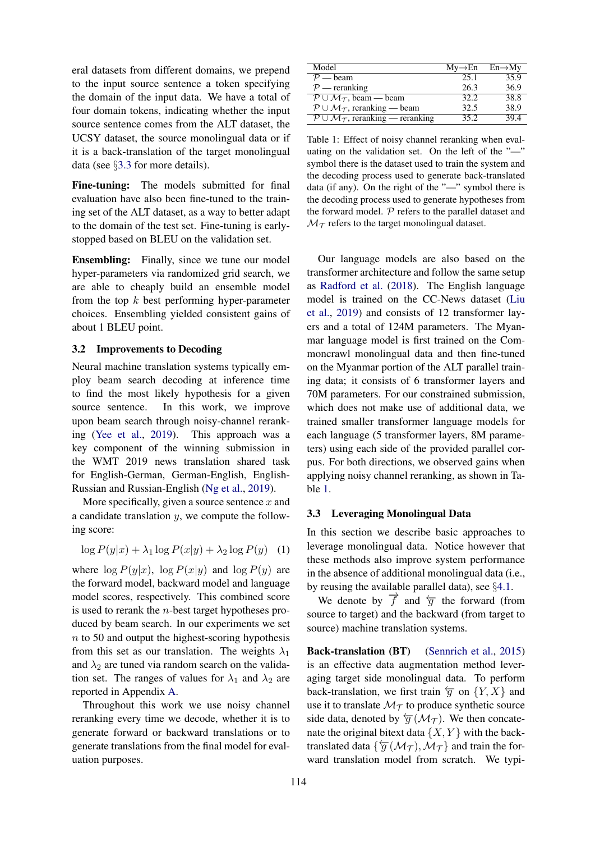eral datasets from different domains, we prepend to the input source sentence a token specifying the domain of the input data. We have a total of four domain tokens, indicating whether the input source sentence comes from the ALT dataset, the UCSY dataset, the source monolingual data or if it is a back-translation of the target monolingual data (see §[3.3](#page-2-1) for more details).

Fine-tuning: The models submitted for final evaluation have also been fine-tuned to the training set of the ALT dataset, as a way to better adapt to the domain of the test set. Fine-tuning is earlystopped based on BLEU on the validation set.

Ensembling: Finally, since we tune our model hyper-parameters via randomized grid search, we are able to cheaply build an ensemble model from the top  $k$  best performing hyper-parameter choices. Ensembling yielded consistent gains of about 1 BLEU point.

### <span id="page-2-0"></span>3.2 Improvements to Decoding

Neural machine translation systems typically employ beam search decoding at inference time to find the most likely hypothesis for a given source sentence. In this work, we improve upon beam search through noisy-channel reranking [\(Yee et al.,](#page-8-7) [2019\)](#page-8-7). This approach was a key component of the winning submission in the WMT 2019 news translation shared task for English-German, German-English, English-Russian and Russian-English [\(Ng et al.,](#page-8-0) [2019\)](#page-8-0).

More specifically, given a source sentence  $x$  and a candidate translation  $y$ , we compute the following score:

$$
\log P(y|x) + \lambda_1 \log P(x|y) + \lambda_2 \log P(y) \quad (1)
$$

where  $\log P(y|x)$ ,  $\log P(x|y)$  and  $\log P(y)$  are the forward model, backward model and language model scores, respectively. This combined score is used to rerank the  $n$ -best target hypotheses produced by beam search. In our experiments we set  $n$  to 50 and output the highest-scoring hypothesis from this set as our translation. The weights  $\lambda_1$ and  $\lambda_2$  are tuned via random search on the validation set. The ranges of values for  $\lambda_1$  and  $\lambda_2$  are reported in Appendix [A.](#page-9-0)

Throughout this work we use noisy channel reranking every time we decode, whether it is to generate forward or backward translations or to generate translations from the final model for evaluation purposes.

<span id="page-2-2"></span>

| Model                                                                | $Mv \rightarrow En$ | $En \rightarrow M_V$ |
|----------------------------------------------------------------------|---------------------|----------------------|
| $P$ — beam                                                           | 25.1                | 35.9                 |
| $P$ — reranking                                                      | 26.3                | 36.9                 |
| $P \cup \mathcal{M}_{\tau}$ , beam — beam                            | 32.2.               | 38.8                 |
| $P \cup \mathcal{M}_{\mathcal{T}}$ , reranking — beam                | 32.5                | 38.9                 |
| $\mathcal{P} \cup \mathcal{M}_{\mathcal{T}}$ , reranking — reranking | 35.2                | 39.4                 |

Table 1: Effect of noisy channel reranking when evaluating on the validation set. On the left of the "—" symbol there is the dataset used to train the system and the decoding process used to generate back-translated data (if any). On the right of the "—" symbol there is the decoding process used to generate hypotheses from the forward model.  $P$  refers to the parallel dataset and  $\mathcal{M}_{\mathcal{T}}$  refers to the target monolingual dataset.

Our language models are also based on the transformer architecture and follow the same setup as [Radford et al.](#page-8-11) [\(2018\)](#page-8-11). The English language model is trained on the CC-News dataset [\(Liu](#page-7-11) [et al.,](#page-7-11) [2019\)](#page-7-11) and consists of 12 transformer layers and a total of 124M parameters. The Myanmar language model is first trained on the Commoncrawl monolingual data and then fine-tuned on the Myanmar portion of the ALT parallel training data; it consists of 6 transformer layers and 70M parameters. For our constrained submission, which does not make use of additional data, we trained smaller transformer language models for each language (5 transformer layers, 8M parameters) using each side of the provided parallel corpus. For both directions, we observed gains when applying noisy channel reranking, as shown in Table [1.](#page-2-2)

#### <span id="page-2-1"></span>3.3 Leveraging Monolingual Data

In this section we describe basic approaches to leverage monolingual data. Notice however that these methods also improve system performance in the absence of additional monolingual data (i.e., by reusing the available parallel data), see §[4.1.](#page-4-0)

We denote by  $\overrightarrow{f}$  and  $\overleftarrow{g}$  the forward (from source to target) and the backward (from target to source) machine translation systems.

Back-translation (BT) [\(Sennrich et al.,](#page-8-3) [2015\)](#page-8-3) is an effective data augmentation method leveraging target side monolingual data. To perform back-translation, we first train  $\overleftarrow{g}$  on  $\{Y, X\}$  and use it to translate  $\mathcal{M}_{\mathcal{T}}$  to produce synthetic source side data, denoted by  $\overleftarrow{g}$  ( $\mathcal{M}_{\mathcal{T}}$ ). We then concatenate the original bitext data  $\{X, Y\}$  with the backtranslated data  $\{\overleftarrow{g}(\mathcal{M}_\mathcal{T}),\mathcal{M}_\mathcal{T}\}\$ and train the forward translation model from scratch. We typi-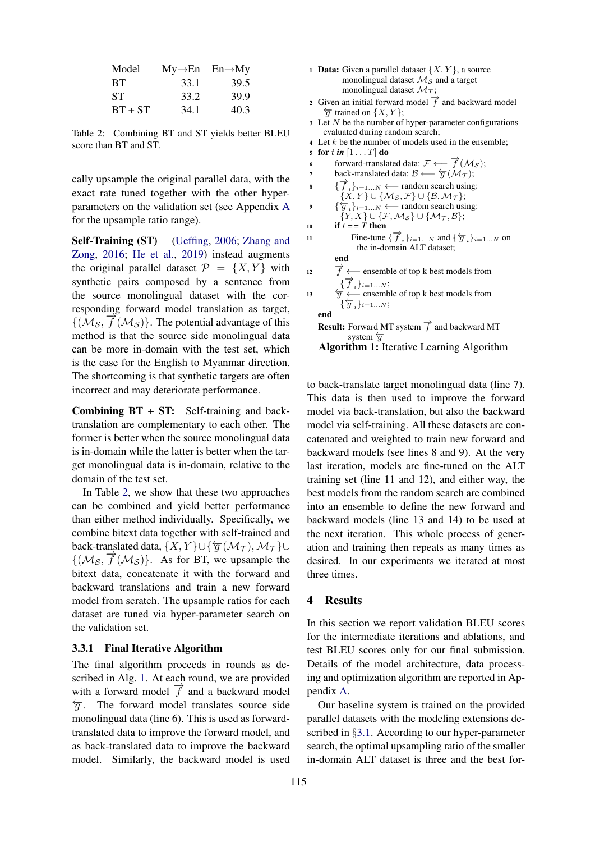<span id="page-3-1"></span>

| Model     | $My \rightarrow En$ $En \rightarrow My$ |      |
|-----------|-----------------------------------------|------|
| <b>BT</b> | 33.1                                    | 39.5 |
| <b>ST</b> | 33.2                                    | 39.9 |
| $BT + ST$ | 34.1                                    | 40.3 |

Table 2: Combining BT and ST yields better BLEU score than BT and ST.

cally upsample the original parallel data, with the exact rate tuned together with the other hyperparameters on the validation set (see Appendix [A](#page-9-0) for the upsample ratio range).

Self-Training (ST) [\(Ueffing,](#page-8-5) [2006;](#page-8-5) [Zhang and](#page-8-6) [Zong,](#page-8-6) [2016;](#page-8-6) [He et al.,](#page-7-2) [2019\)](#page-7-2) instead augments the original parallel dataset  $\mathcal{P} = \{X, Y\}$  with synthetic pairs composed by a sentence from the source monolingual dataset with the corresponding forward model translation as target,  ${(\mathcal{M}_\mathcal{S}, \vec{f}(\mathcal{M}_\mathcal{S}))}$ . The potential advantage of this method is that the source side monolingual data can be more in-domain with the test set, which is the case for the English to Myanmar direction. The shortcoming is that synthetic targets are often incorrect and may deteriorate performance.

**Combining BT + ST:** Self-training and backtranslation are complementary to each other. The former is better when the source monolingual data is in-domain while the latter is better when the target monolingual data is in-domain, relative to the domain of the test set.

In Table [2,](#page-3-1) we show that these two approaches can be combined and yield better performance than either method individually. Specifically, we combine bitext data together with self-trained and back-translated data,  $\{X, Y\} \cup \{\overleftarrow{g}(\mathcal{M}_\mathcal{T}), \mathcal{M}_\mathcal{T}\}\cup$  ${((\mathcal{M}_\mathcal{S}, \vec{f}(\mathcal{M}_\mathcal{S}))}$ . As for BT, we upsample the bitext data, concatenate it with the forward and backward translations and train a new forward model from scratch. The upsample ratios for each dataset are tuned via hyper-parameter search on the validation set.

#### 3.3.1 Final Iterative Algorithm

The final algorithm proceeds in rounds as described in Alg. [1.](#page-3-2) At each round, we are provided with a forward model  $\overrightarrow{f}$  and a backward model  $\overleftarrow{q}$ . The forward model translates source side monolingual data (line 6). This is used as forwardtranslated data to improve the forward model, and as back-translated data to improve the backward model. Similarly, the backward model is used

|              | <b>Data:</b> Given a parallel dataset $\{X, Y\}$ , a source                                                                 |
|--------------|-----------------------------------------------------------------------------------------------------------------------------|
|              | monolingual dataset $\mathcal{M}_{\mathcal{S}}$ and a target                                                                |
|              | monolingual dataset $\mathcal{M}_{\mathcal{T}}$ ;                                                                           |
| $\mathbf{2}$ | Given an initial forward model $\overrightarrow{f}$ and backward model                                                      |
|              | $\overline{g}$ trained on $\{X, Y\};$                                                                                       |
|              | $\sigma$ Let N be the number of hyper-parameter configurations                                                              |
|              | evaluated during random search;                                                                                             |
| 4            | Let $k$ be the number of models used in the ensemble;                                                                       |
| 5            | for t in $[1 \dots T]$ do                                                                                                   |
| 6            | forward-translated data: $\mathcal{F} \longleftarrow \overrightarrow{f}(\mathcal{M}_{\mathcal{S}});$                        |
| 7            | back-translated data: $\mathcal{B} \longleftarrow \overleftarrow{g}(\mathcal{M}_{\mathcal{T}});$                            |
| 8            | $\{\overrightarrow{f}_i\}_{i=1N} \longleftarrow$ random search using:                                                       |
|              | $\{X,Y\} \cup \{\mathcal{M}_{\mathcal{S}},\mathcal{F}\} \cup \{\mathcal{B},\mathcal{M}_{\mathcal{T}}\};$                    |
| 9            | $\{\overleftarrow{g}_i\}_{i=1N} \longleftarrow$ random search using:                                                        |
|              | $\{Y,X\} \cup \{\mathcal{F},\mathcal{M}_{\mathcal{S}}\} \cup \{\mathcal{M}_{\mathcal{T}},\mathcal{B}\};$                    |
| 10           | if $t == T$ then                                                                                                            |
| 11           | Fine-tune $\{\overrightarrow{f}_i\}_{i=1N}$ and $\{\overleftarrow{g}_i\}_{i=1N}$ on                                         |
|              | the in-domain ALT dataset;                                                                                                  |
|              | end                                                                                                                         |
| 12           | $\overrightarrow{f}$ $\longleftarrow$ ensemble of top k best models from                                                    |
|              | $\overbrace{\overline{g}}^{\overline{f}}\overbrace{\longleftarrow}^{\text{in-1N}}\text{ensemble of top k best models from}$ |
| 13           |                                                                                                                             |
|              | $\{\overleftarrow{g}_i\}_{i=1N};$                                                                                           |
|              | end                                                                                                                         |
|              | <b>Result:</b> Forward MT system $\overrightarrow{f}$ and backward MT                                                       |
|              | system $\overline{q}$                                                                                                       |
|              | Algorithm 1: Iterative Learning Algorithm                                                                                   |
|              |                                                                                                                             |

<span id="page-3-2"></span>to back-translate target monolingual data (line 7). This data is then used to improve the forward model via back-translation, but also the backward model via self-training. All these datasets are concatenated and weighted to train new forward and backward models (see lines 8 and 9). At the very last iteration, models are fine-tuned on the ALT training set (line 11 and 12), and either way, the best models from the random search are combined into an ensemble to define the new forward and backward models (line 13 and 14) to be used at the next iteration. This whole process of generation and training then repeats as many times as desired. In our experiments we iterated at most three times.

### <span id="page-3-0"></span>4 Results

In this section we report validation BLEU scores for the intermediate iterations and ablations, and test BLEU scores only for our final submission. Details of the model architecture, data processing and optimization algorithm are reported in Appendix [A.](#page-9-0)

Our baseline system is trained on the provided parallel datasets with the modeling extensions described in §[3.1.](#page-1-6) According to our hyper-parameter search, the optimal upsampling ratio of the smaller in-domain ALT dataset is three and the best for-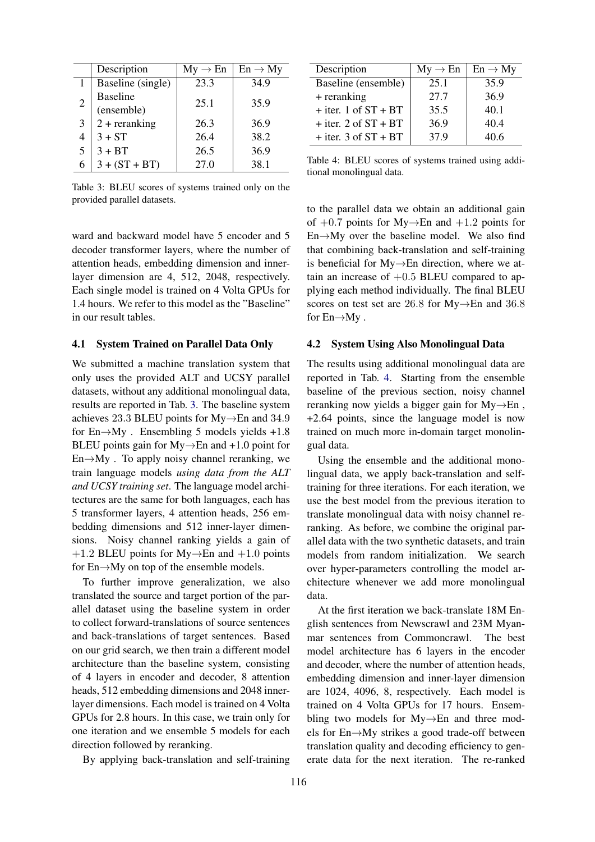<span id="page-4-1"></span>

|                | Description                   | $My \rightarrow En$ | $En \rightarrow My$ |
|----------------|-------------------------------|---------------------|---------------------|
| 1              | Baseline (single)             | 23.3                | 34.9                |
| $\overline{2}$ | <b>Baseline</b><br>(ensemble) | 25.1                | 35.9                |
| 3              | $2 +$ reranking               | 26.3                | 36.9                |
| 4              | $3 + ST$                      | 26.4                | 38.2                |
|                | $3 + BT$                      | 26.5                | 36.9                |
| 6              | $3 + (ST + BT)$               | 27.0                | 38.1                |

Table 3: BLEU scores of systems trained only on the provided parallel datasets.

ward and backward model have 5 encoder and 5 decoder transformer layers, where the number of attention heads, embedding dimension and innerlayer dimension are 4, 512, 2048, respectively. Each single model is trained on 4 Volta GPUs for 1.4 hours. We refer to this model as the "Baseline" in our result tables.

### <span id="page-4-0"></span>4.1 System Trained on Parallel Data Only

We submitted a machine translation system that only uses the provided ALT and UCSY parallel datasets, without any additional monolingual data, results are reported in Tab. [3.](#page-4-1) The baseline system achieves 23.3 BLEU points for My→En and 34.9 for  $En \rightarrow My$ . Ensembling 5 models yields +1.8 BLEU points gain for  $My \rightarrow En$  and +1.0 point for  $En \rightarrow My$ . To apply noisy channel reranking, we train language models *using data from the ALT and UCSY training set*. The language model architectures are the same for both languages, each has 5 transformer layers, 4 attention heads, 256 embedding dimensions and 512 inner-layer dimensions. Noisy channel ranking yields a gain of  $+1.2$  BLEU points for My $\rightarrow$ En and  $+1.0$  points for En→My on top of the ensemble models.

To further improve generalization, we also translated the source and target portion of the parallel dataset using the baseline system in order to collect forward-translations of source sentences and back-translations of target sentences. Based on our grid search, we then train a different model architecture than the baseline system, consisting of 4 layers in encoder and decoder, 8 attention heads, 512 embedding dimensions and 2048 innerlayer dimensions. Each model is trained on 4 Volta GPUs for 2.8 hours. In this case, we train only for one iteration and we ensemble 5 models for each direction followed by reranking.

By applying back-translation and self-training

<span id="page-4-2"></span>

| Description              | $My \rightarrow En$ | $En \rightarrow My$ |
|--------------------------|---------------------|---------------------|
| Baseline (ensemble)      | 25.1                | 35.9                |
| + reranking              | 27.7                | 36.9                |
| $+$ iter. 1 of $ST + BT$ | 35.5                | 40.1                |
| $+$ iter. 2 of $ST + BT$ | 36.9                | 40.4                |
| $+$ iter. 3 of $ST + BT$ | 37.9                | 40.6                |

Table 4: BLEU scores of systems trained using additional monolingual data.

to the parallel data we obtain an additional gain of  $+0.7$  points for My $\rightarrow$ En and  $+1.2$  points for En→My over the baseline model. We also find that combining back-translation and self-training is beneficial for My→En direction, where we attain an increase of  $+0.5$  BLEU compared to applying each method individually. The final BLEU scores on test set are 26.8 for My→En and 36.8 for  $En \rightarrow My$ .

#### 4.2 System Using Also Monolingual Data

The results using additional monolingual data are reported in Tab. [4.](#page-4-2) Starting from the ensemble baseline of the previous section, noisy channel reranking now yields a bigger gain for My→En , +2.64 points, since the language model is now trained on much more in-domain target monolingual data.

Using the ensemble and the additional monolingual data, we apply back-translation and selftraining for three iterations. For each iteration, we use the best model from the previous iteration to translate monolingual data with noisy channel reranking. As before, we combine the original parallel data with the two synthetic datasets, and train models from random initialization. We search over hyper-parameters controlling the model architecture whenever we add more monolingual data.

At the first iteration we back-translate 18M English sentences from Newscrawl and 23M Myanmar sentences from Commoncrawl. The best model architecture has 6 layers in the encoder and decoder, where the number of attention heads, embedding dimension and inner-layer dimension are 1024, 4096, 8, respectively. Each model is trained on 4 Volta GPUs for 17 hours. Ensembling two models for My→En and three models for En→My strikes a good trade-off between translation quality and decoding efficiency to generate data for the next iteration. The re-ranked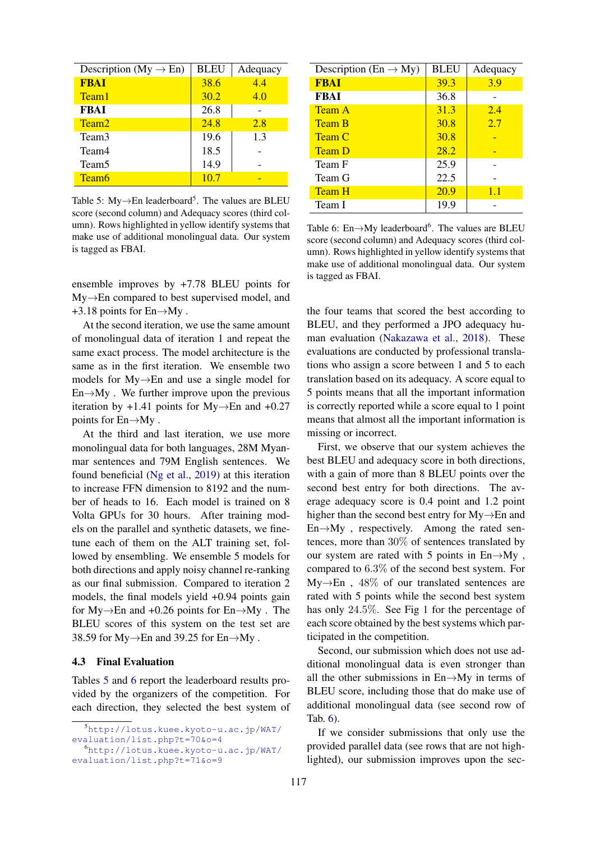<span id="page-5-0"></span>

| Description (My $\rightarrow$ En) | <b>BLEU</b> | Adequacy |
|-----------------------------------|-------------|----------|
| <b>FBAI</b>                       | 38.6        | 4.4      |
| Team1                             | 30.2        | 4.0      |
| <b>FBAI</b>                       | 26.8        |          |
| Team <sub>2</sub>                 | 24.8        | 2.8      |
| Team3                             | 19.6        | 1.3      |
| Team4                             | 18.5        |          |
| Team <sub>5</sub>                 | 14.9        |          |
| Team <sub>6</sub>                 | 10.7        |          |

Table [5](#page-0-0): My $\rightarrow$ En leaderboard<sup>5</sup>. The values are BLEU score (second column) and Adequacy scores (third column). Rows highlighted in yellow identify systems that make use of additional monolingual data. Our system is tagged as FBAI.

ensemble improves by +7.78 BLEU points for My→En compared to best supervised model, and  $+3.18$  points for En $\rightarrow$ My.

At the second iteration, we use the same amount of monolingual data of iteration 1 and repeat the same exact process. The model architecture is the same as in the first iteration. We ensemble two models for My→En and use a single model for  $En \rightarrow My$ . We further improve upon the previous iteration by +1.41 points for My $\rightarrow$ En and +0.27 points for En→My .

At the third and last iteration, we use more monolingual data for both languages, 28M Myanmar sentences and 79M English sentences. We found beneficial [\(Ng et al.,](#page-8-0) [2019\)](#page-8-0) at this iteration to increase FFN dimension to 8192 and the number of heads to 16. Each model is trained on 8 Volta GPUs for 30 hours. After training models on the parallel and synthetic datasets, we finetune each of them on the ALT training set, followed by ensembling. We ensemble 5 models for both directions and apply noisy channel re-ranking as our final submission. Compared to iteration 2 models, the final models yield +0.94 points gain for  $My \rightarrow En$  and  $+0.26$  points for  $En \rightarrow My$ . The BLEU scores of this system on the test set are 38.59 for  $My \rightarrow En$  and 39.25 for  $En \rightarrow My$ .

#### 4.3 Final Evaluation

Tables [5](#page-5-0) and [6](#page-5-1) report the leaderboard results provided by the organizers of the competition. For each direction, they selected the best system of

<span id="page-5-1"></span>

| Description (En $\rightarrow$ My) | <b>BLEU</b> | Adequacy |
|-----------------------------------|-------------|----------|
| <b>FBAI</b>                       | 39.3        | 3.9      |
| <b>FBAI</b>                       | 36.8        |          |
| <b>Team A</b>                     | 31.3        | 2.4      |
| <b>Team B</b>                     | 30.8        | 2.7      |
| <b>Team C</b>                     | 30.8        |          |
| <b>Team D</b>                     | 28.2        |          |
| Team F                            | 25.9        |          |
| Team G                            | 22.5        |          |
| <b>Team H</b>                     | <b>20.9</b> | 1.1      |
| Team I                            | 19.9        |          |

Table [6](#page-0-0): En $\rightarrow$ My leaderboard<sup>6</sup>. The values are BLEU score (second column) and Adequacy scores (third column). Rows highlighted in yellow identify systems that make use of additional monolingual data. Our system is tagged as FBAI.

the four teams that scored the best according to BLEU, and they performed a JPO adequacy human evaluation [\(Nakazawa et al.,](#page-7-12) [2018\)](#page-7-12). These evaluations are conducted by professional translations who assign a score between 1 and 5 to each translation based on its adequacy. A score equal to 5 points means that all the important information is correctly reported while a score equal to 1 point means that almost all the important information is missing or incorrect.

First, we observe that our system achieves the best BLEU and adequacy score in both directions, with a gain of more than 8 BLEU points over the second best entry for both directions. The average adequacy score is 0.4 point and 1.2 point higher than the second best entry for My→En and  $En \rightarrow My$ , respectively. Among the rated sentences, more than 30% of sentences translated by our system are rated with 5 points in  $En \rightarrow My$ , compared to 6.3% of the second best system. For  $My \rightarrow En$ , 48% of our translated sentences are rated with 5 points while the second best system has only 24.5%. See Fig [1](#page-6-2) for the percentage of each score obtained by the best systems which participated in the competition.

Second, our submission which does not use additional monolingual data is even stronger than all the other submissions in  $En \rightarrow My$  in terms of BLEU score, including those that do make use of additional monolingual data (see second row of Tab. [6\)](#page-5-1).

If we consider submissions that only use the provided parallel data (see rows that are not highlighted), our submission improves upon the sec-

<sup>5</sup>[http://lotus.kuee.kyoto-u.ac.jp/WAT/](http://lotus.kuee.kyoto-u.ac.jp/WAT/evaluation/list.php?t=70&o=4) [evaluation/list.php?t=70&o=4](http://lotus.kuee.kyoto-u.ac.jp/WAT/evaluation/list.php?t=70&o=4)

<sup>6</sup>[http://lotus.kuee.kyoto-u.ac.jp/WAT/](http://lotus.kuee.kyoto-u.ac.jp/WAT/evaluation/list.php?t=71&o=9) [evaluation/list.php?t=71&o=9](http://lotus.kuee.kyoto-u.ac.jp/WAT/evaluation/list.php?t=71&o=9)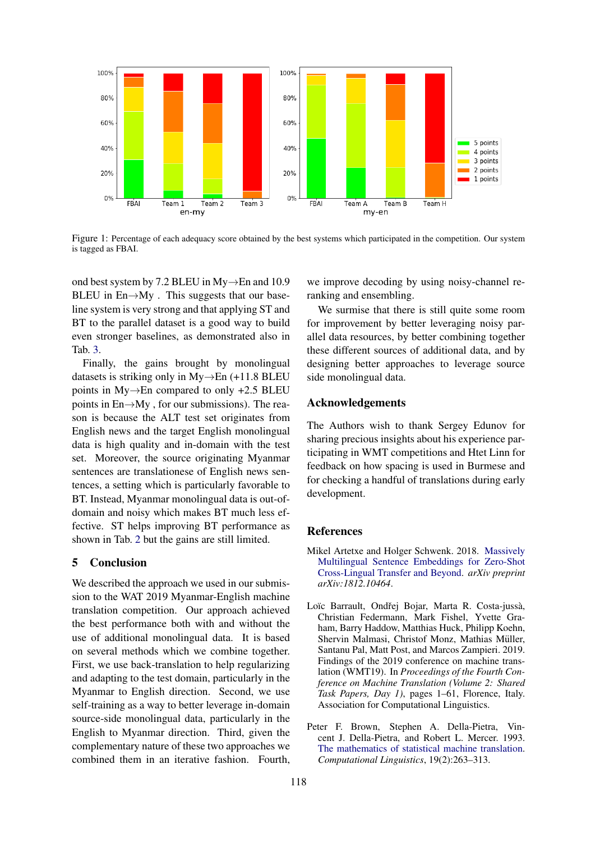<span id="page-6-2"></span>

Figure 1: Percentage of each adequacy score obtained by the best systems which participated in the competition. Our system is tagged as FBAI.

ond best system by 7.2 BLEU in My→En and 10.9 BLEU in  $En \rightarrow My$ . This suggests that our baseline system is very strong and that applying ST and BT to the parallel dataset is a good way to build even stronger baselines, as demonstrated also in Tab. [3.](#page-4-1)

Finally, the gains brought by monolingual datasets is striking only in  $My \rightarrow En$  (+11.8 BLEU points in My→En compared to only +2.5 BLEU points in  $En \rightarrow My$ , for our submissions). The reason is because the ALT test set originates from English news and the target English monolingual data is high quality and in-domain with the test set. Moreover, the source originating Myanmar sentences are translationese of English news sentences, a setting which is particularly favorable to BT. Instead, Myanmar monolingual data is out-ofdomain and noisy which makes BT much less effective. ST helps improving BT performance as shown in Tab. [2](#page-3-1) but the gains are still limited.

# <span id="page-6-0"></span>5 Conclusion

We described the approach we used in our submission to the WAT 2019 Myanmar-English machine translation competition. Our approach achieved the best performance both with and without the use of additional monolingual data. It is based on several methods which we combine together. First, we use back-translation to help regularizing and adapting to the test domain, particularly in the Myanmar to English direction. Second, we use self-training as a way to better leverage in-domain source-side monolingual data, particularly in the English to Myanmar direction. Third, given the complementary nature of these two approaches we combined them in an iterative fashion. Fourth,

we improve decoding by using noisy-channel reranking and ensembling.

We surmise that there is still quite some room for improvement by better leveraging noisy parallel data resources, by better combining together these different sources of additional data, and by designing better approaches to leverage source side monolingual data.

### Acknowledgements

The Authors wish to thank Sergey Edunov for sharing precious insights about his experience participating in WMT competitions and Htet Linn for feedback on how spacing is used in Burmese and for checking a handful of translations during early development.

# References

- <span id="page-6-4"></span>Mikel Artetxe and Holger Schwenk. 2018. [Massively](https://arxiv.org/pdf/1812.10464.pdf) [Multilingual Sentence Embeddings for Zero-Shot](https://arxiv.org/pdf/1812.10464.pdf) [Cross-Lingual Transfer and Beyond.](https://arxiv.org/pdf/1812.10464.pdf) *arXiv preprint arXiv:1812.10464*.
- <span id="page-6-1"></span>Loïc Barrault, Ondřej Bojar, Marta R. Costa-jussà, Christian Federmann, Mark Fishel, Yvette Graham, Barry Haddow, Matthias Huck, Philipp Koehn, Shervin Malmasi, Christof Monz, Mathias Müller, Santanu Pal, Matt Post, and Marcos Zampieri. 2019. Findings of the 2019 conference on machine translation (WMT19). In *Proceedings of the Fourth Conference on Machine Translation (Volume 2: Shared Task Papers, Day 1)*, pages 1–61, Florence, Italy. Association for Computational Linguistics.
- <span id="page-6-3"></span>Peter F. Brown, Stephen A. Della-Pietra, Vincent J. Della-Pietra, and Robert L. Mercer. 1993. [The mathematics of statistical machine translation.](http://acl.ldc.upenn.edu/J/J93/J93-2003.pdf) *Computational Linguistics*, 19(2):263–313.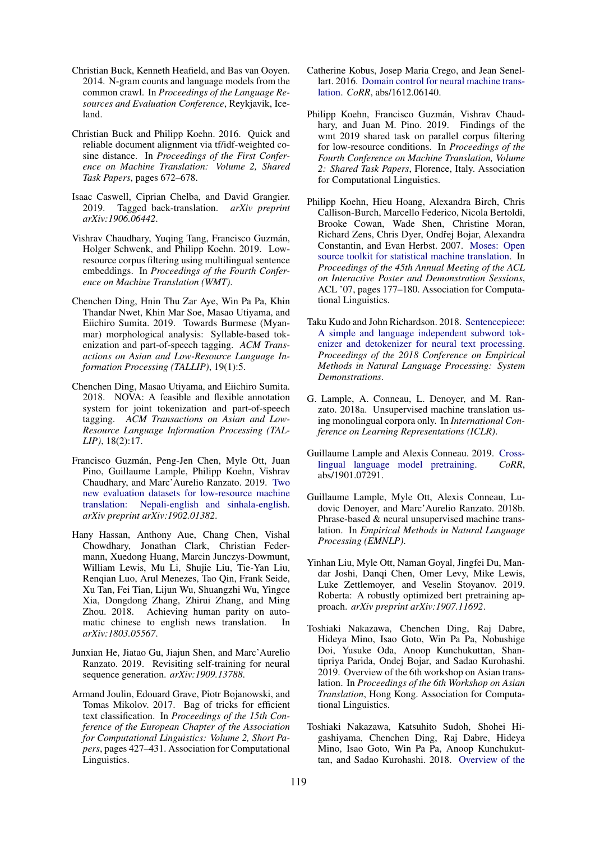- <span id="page-7-5"></span>Christian Buck, Kenneth Heafield, and Bas van Ooyen. 2014. N-gram counts and language models from the common crawl. In *Proceedings of the Language Resources and Evaluation Conference*, Reykjavik, Iceland.
- <span id="page-7-17"></span>Christian Buck and Philipp Koehn. 2016. Quick and reliable document alignment via tf/idf-weighted cosine distance. In *Proceedings of the First Conference on Machine Translation: Volume 2, Shared Task Papers*, pages 672–678.
- <span id="page-7-10"></span>Isaac Caswell, Ciprian Chelba, and David Grangier. 2019. Tagged back-translation. *arXiv preprint arXiv:1906.06442*.
- <span id="page-7-19"></span>Vishrav Chaudhary, Yuqing Tang, Francisco Guzmán, Holger Schwenk, and Philipp Koehn. 2019. Lowresource corpus filtering using multilingual sentence embeddings. In *Proceedings of the Fourth Conference on Machine Translation (WMT)*.
- <span id="page-7-4"></span>Chenchen Ding, Hnin Thu Zar Aye, Win Pa Pa, Khin Thandar Nwet, Khin Mar Soe, Masao Utiyama, and Eiichiro Sumita. 2019. Towards Burmese (Myanmar) morphological analysis: Syllable-based tokenization and part-of-speech tagging. *ACM Transactions on Asian and Low-Resource Language Information Processing (TALLIP)*, 19(1):5.
- <span id="page-7-3"></span>Chenchen Ding, Masao Utiyama, and Eiichiro Sumita. 2018. NOVA: A feasible and flexible annotation system for joint tokenization and part-of-speech tagging. *ACM Transactions on Asian and Low-Resource Language Information Processing (TAL-LIP)*, 18(2):17.
- <span id="page-7-13"></span>Francisco Guzmán, Peng-Jen Chen, Myle Ott, Juan Pino, Guillaume Lample, Philipp Koehn, Vishrav Chaudhary, and Marc'Aurelio Ranzato. 2019. [Two](https://arxiv.org/abs/1902.01382) [new evaluation datasets for low-resource machine](https://arxiv.org/abs/1902.01382) [translation: Nepali-english and sinhala-english.](https://arxiv.org/abs/1902.01382) *arXiv preprint arXiv:1902.01382*.
- <span id="page-7-1"></span>Hany Hassan, Anthony Aue, Chang Chen, Vishal Chowdhary, Jonathan Clark, Christian Federmann, Xuedong Huang, Marcin Junczys-Dowmunt, William Lewis, Mu Li, Shujie Liu, Tie-Yan Liu, Renqian Luo, Arul Menezes, Tao Qin, Frank Seide, Xu Tan, Fei Tian, Lijun Wu, Shuangzhi Wu, Yingce Xia, Dongdong Zhang, Zhirui Zhang, and Ming Zhou. 2018. Achieving human parity on automatic chinese to english news translation. In *arXiv:1803.05567*.
- <span id="page-7-2"></span>Junxian He, Jiatao Gu, Jiajun Shen, and Marc'Aurelio Ranzato. 2019. Revisiting self-training for neural sequence generation. *arXiv:1909.13788*.
- <span id="page-7-6"></span>Armand Joulin, Edouard Grave, Piotr Bojanowski, and Tomas Mikolov. 2017. Bag of tricks for efficient text classification. In *Proceedings of the 15th Conference of the European Chapter of the Association for Computational Linguistics: Volume 2, Short Papers*, pages 427–431. Association for Computational Linguistics.
- <span id="page-7-9"></span>Catherine Kobus, Josep Maria Crego, and Jean Senellart. 2016. [Domain control for neural machine trans](http://arxiv.org/abs/1612.06140)[lation.](http://arxiv.org/abs/1612.06140) *CoRR*, abs/1612.06140.
- <span id="page-7-18"></span>Philipp Koehn, Francisco Guzmán, Vishrav Chaudhary, and Juan M. Pino. 2019. Findings of the wmt 2019 shared task on parallel corpus filtering for low-resource conditions. In *Proceedings of the Fourth Conference on Machine Translation, Volume 2: Shared Task Papers*, Florence, Italy. Association for Computational Linguistics.
- <span id="page-7-7"></span>Philipp Koehn, Hieu Hoang, Alexandra Birch, Chris Callison-Burch, Marcello Federico, Nicola Bertoldi, Brooke Cowan, Wade Shen, Christine Moran, Richard Zens, Chris Dyer, Ondřej Bojar, Alexandra Constantin, and Evan Herbst. 2007. [Moses: Open](http://dl.acm.org/citation.cfm?id=1557769.1557821) [source toolkit for statistical machine translation.](http://dl.acm.org/citation.cfm?id=1557769.1557821) In *Proceedings of the 45th Annual Meeting of the ACL on Interactive Poster and Demonstration Sessions*, ACL '07, pages 177–180. Association for Computational Linguistics.
- <span id="page-7-8"></span>Taku Kudo and John Richardson. 2018. [Sentencepiece:](https://doi.org/10.18653/v1/d18-2012) [A simple and language independent subword tok](https://doi.org/10.18653/v1/d18-2012)[enizer and detokenizer for neural text processing.](https://doi.org/10.18653/v1/d18-2012) *Proceedings of the 2018 Conference on Empirical Methods in Natural Language Processing: System Demonstrations*.
- <span id="page-7-15"></span>G. Lample, A. Conneau, L. Denoyer, and M. Ranzato. 2018a. Unsupervised machine translation using monolingual corpora only. In *International Conference on Learning Representations (ICLR)*.
- <span id="page-7-14"></span>Guillaume Lample and Alexis Conneau. 2019. [Cross](http://arxiv.org/abs/1901.07291)[lingual language model pretraining.](http://arxiv.org/abs/1901.07291) *CoRR*, abs/1901.07291.
- <span id="page-7-16"></span>Guillaume Lample, Myle Ott, Alexis Conneau, Ludovic Denoyer, and Marc'Aurelio Ranzato. 2018b. Phrase-based & neural unsupervised machine translation. In *Empirical Methods in Natural Language Processing (EMNLP)*.
- <span id="page-7-11"></span>Yinhan Liu, Myle Ott, Naman Goyal, Jingfei Du, Mandar Joshi, Danqi Chen, Omer Levy, Mike Lewis, Luke Zettlemoyer, and Veselin Stoyanov. 2019. Roberta: A robustly optimized bert pretraining approach. *arXiv preprint arXiv:1907.11692*.
- <span id="page-7-0"></span>Toshiaki Nakazawa, Chenchen Ding, Raj Dabre, Hideya Mino, Isao Goto, Win Pa Pa, Nobushige Doi, Yusuke Oda, Anoop Kunchukuttan, Shantipriya Parida, Ondej Bojar, and Sadao Kurohashi. 2019. Overview of the 6th workshop on Asian translation. In *Proceedings of the 6th Workshop on Asian Translation*, Hong Kong. Association for Computational Linguistics.
- <span id="page-7-12"></span>Toshiaki Nakazawa, Katsuhito Sudoh, Shohei Higashiyama, Chenchen Ding, Raj Dabre, Hideya Mino, Isao Goto, Win Pa Pa, Anoop Kunchukuttan, and Sadao Kurohashi. 2018. [Overview of the](https://www.aclweb.org/anthology/Y18-3001)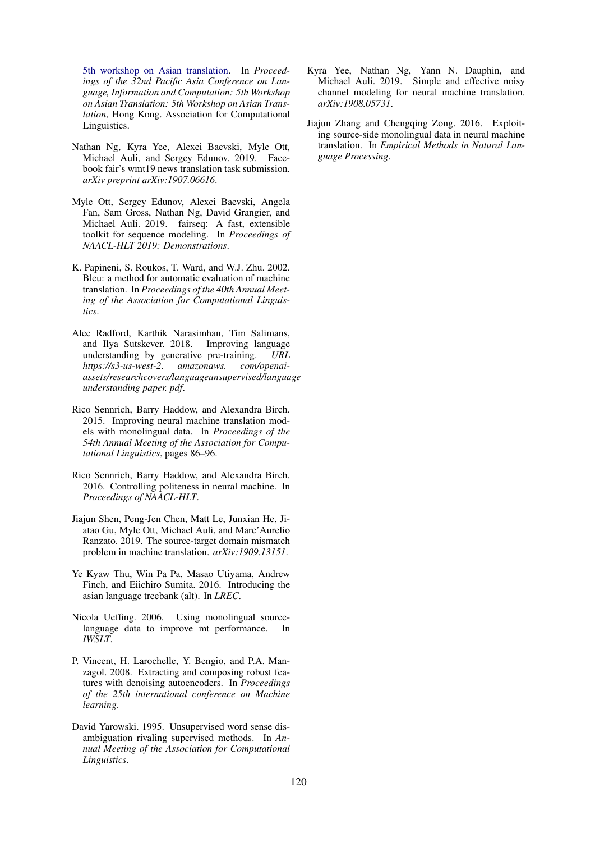[5th workshop on Asian translation.](https://www.aclweb.org/anthology/Y18-3001) In *Proceedings of the 32nd Pacific Asia Conference on Language, Information and Computation: 5th Workshop on Asian Translation: 5th Workshop on Asian Translation*, Hong Kong. Association for Computational Linguistics.

- <span id="page-8-0"></span>Nathan Ng, Kyra Yee, Alexei Baevski, Myle Ott, Michael Auli, and Sergey Edunov. 2019. Facebook fair's wmt19 news translation task submission. *arXiv preprint arXiv:1907.06616*.
- <span id="page-8-9"></span>Myle Ott, Sergey Edunov, Alexei Baevski, Angela Fan, Sam Gross, Nathan Ng, David Grangier, and Michael Auli. 2019. fairseq: A fast, extensible toolkit for sequence modeling. In *Proceedings of NAACL-HLT 2019: Demonstrations*.
- <span id="page-8-2"></span>K. Papineni, S. Roukos, T. Ward, and W.J. Zhu. 2002. Bleu: a method for automatic evaluation of machine translation. In *Proceedings of the 40th Annual Meeting of the Association for Computational Linguistics*.
- <span id="page-8-11"></span>Alec Radford, Karthik Narasimhan, Tim Salimans, and Ilya Sutskever. 2018. Improving language understanding by generative pre-training. *URL https://s3-us-west-2. amazonaws. com/openaiassets/researchcovers/languageunsupervised/language understanding paper. pdf*.
- <span id="page-8-3"></span>Rico Sennrich, Barry Haddow, and Alexandra Birch. 2015. Improving neural machine translation models with monolingual data. In *Proceedings of the 54th Annual Meeting of the Association for Computational Linguistics*, pages 86–96.
- <span id="page-8-10"></span>Rico Sennrich, Barry Haddow, and Alexandra Birch. 2016. Controlling politeness in neural machine. In *Proceedings of NAACL-HLT*.
- <span id="page-8-1"></span>Jiajun Shen, Peng-Jen Chen, Matt Le, Junxian He, Jiatao Gu, Myle Ott, Michael Auli, and Marc'Aurelio Ranzato. 2019. The source-target domain mismatch problem in machine translation. *arXiv:1909.13151*.
- <span id="page-8-8"></span>Ye Kyaw Thu, Win Pa Pa, Masao Utiyama, Andrew Finch, and Eiichiro Sumita. 2016. Introducing the asian language treebank (alt). In *LREC*.
- <span id="page-8-5"></span>Nicola Ueffing. 2006. Using monolingual sourcelanguage data to improve mt performance. In *IWSLT*.
- <span id="page-8-12"></span>P. Vincent, H. Larochelle, Y. Bengio, and P.A. Manzagol. 2008. Extracting and composing robust features with denoising autoencoders. In *Proceedings of the 25th international conference on Machine learning*.
- <span id="page-8-4"></span>David Yarowski. 1995. Unsupervised word sense disambiguation rivaling supervised methods. In *Annual Meeting of the Association for Computational Linguistics*.
- <span id="page-8-7"></span>Kyra Yee, Nathan Ng, Yann N. Dauphin, and Michael Auli. 2019. Simple and effective noisy channel modeling for neural machine translation. *arXiv:1908.05731*.
- <span id="page-8-6"></span>Jiajun Zhang and Chengqing Zong. 2016. Exploiting source-side monolingual data in neural machine translation. In *Empirical Methods in Natural Language Processing*.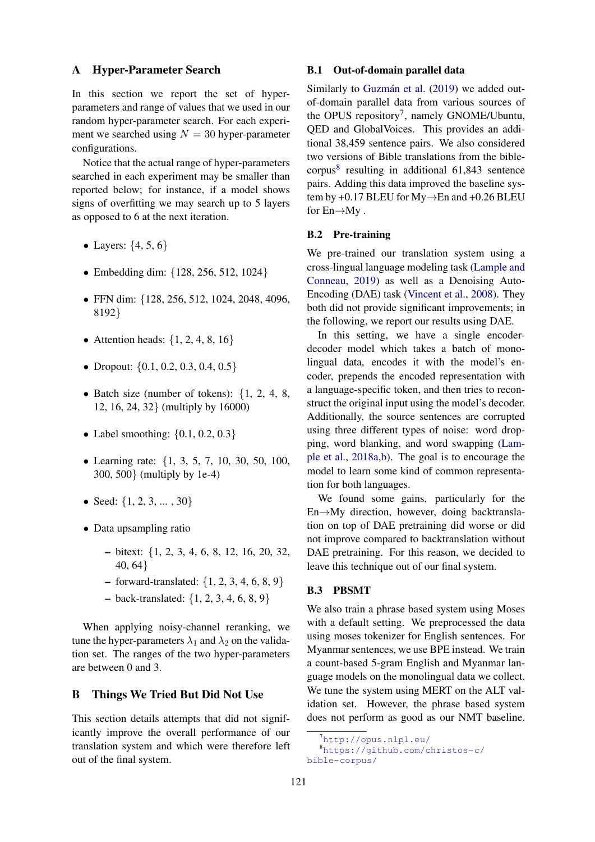#### <span id="page-9-0"></span>A Hyper-Parameter Search

In this section we report the set of hyperparameters and range of values that we used in our random hyper-parameter search. For each experiment we searched using  $N = 30$  hyper-parameter configurations.

Notice that the actual range of hyper-parameters searched in each experiment may be smaller than reported below; for instance, if a model shows signs of overfitting we may search up to 5 layers as opposed to 6 at the next iteration.

- Layers:  $\{4, 5, 6\}$
- Embedding dim: {128, 256, 512, 1024}
- FFN dim: {128, 256, 512, 1024, 2048, 4096, 8192}
- Attention heads:  $\{1, 2, 4, 8, 16\}$
- Dropout:  $\{0.1, 0.2, 0.3, 0.4, 0.5\}$
- Batch size (number of tokens):  $\{1, 2, 4, 8,$ 12, 16, 24, 32} (multiply by 16000)
- Label smoothing:  $\{0.1, 0.2, 0.3\}$
- Learning rate: {1, 3, 5, 7, 10, 30, 50, 100, 300, 500} (multiply by 1e-4)
- Seed:  $\{1, 2, 3, \ldots, 30\}$
- Data upsampling ratio
	- bitext: {1, 2, 3, 4, 6, 8, 12, 16, 20, 32, 40, 64}
	- $-$  forward-translated: {1, 2, 3, 4, 6, 8, 9}
	- $-$  back-translated:  $\{1, 2, 3, 4, 6, 8, 9\}$

When applying noisy-channel reranking, we tune the hyper-parameters  $\lambda_1$  and  $\lambda_2$  on the validation set. The ranges of the two hyper-parameters are between 0 and 3.

### <span id="page-9-1"></span>B Things We Tried But Did Not Use

This section details attempts that did not significantly improve the overall performance of our translation system and which were therefore left out of the final system.

#### B.1 Out-of-domain parallel data

Similarly to Guzmán et al. [\(2019\)](#page-7-13) we added outof-domain parallel data from various sources of the OPUS repository<sup>[7](#page-9-2)</sup>, namely GNOME/Ubuntu, QED and GlobalVoices. This provides an additional 38,459 sentence pairs. We also considered two versions of Bible translations from the biblecorpus[8](#page-9-3) resulting in additional 61,843 sentence pairs. Adding this data improved the baseline system by +0.17 BLEU for  $My \rightarrow En$  and +0.26 BLEU for  $En \rightarrow My$ .

### B.2 Pre-training

We pre-trained our translation system using a cross-lingual language modeling task [\(Lample and](#page-7-14) [Conneau,](#page-7-14) [2019\)](#page-7-14) as well as a Denoising Auto-Encoding (DAE) task [\(Vincent et al.,](#page-8-12) [2008\)](#page-8-12). They both did not provide significant improvements; in the following, we report our results using DAE.

In this setting, we have a single encoderdecoder model which takes a batch of monolingual data, encodes it with the model's encoder, prepends the encoded representation with a language-specific token, and then tries to reconstruct the original input using the model's decoder. Additionally, the source sentences are corrupted using three different types of noise: word dropping, word blanking, and word swapping [\(Lam](#page-7-15)[ple et al.,](#page-7-15) [2018a](#page-7-15)[,b\)](#page-7-16). The goal is to encourage the model to learn some kind of common representation for both languages.

We found some gains, particularly for the En→My direction, however, doing backtranslation on top of DAE pretraining did worse or did not improve compared to backtranslation without DAE pretraining. For this reason, we decided to leave this technique out of our final system.

#### B.3 PBSMT

We also train a phrase based system using Moses with a default setting. We preprocessed the data using moses tokenizer for English sentences. For Myanmar sentences, we use BPE instead. We train a count-based 5-gram English and Myanmar language models on the monolingual data we collect. We tune the system using MERT on the ALT validation set. However, the phrase based system does not perform as good as our NMT baseline.

<span id="page-9-3"></span><span id="page-9-2"></span> $7$ <http://opus.nlpl.eu/>

<sup>8</sup>[https://github.com/christos-c/](https://github.com/christos-c/bible-corpus/) [bible-corpus/](https://github.com/christos-c/bible-corpus/)